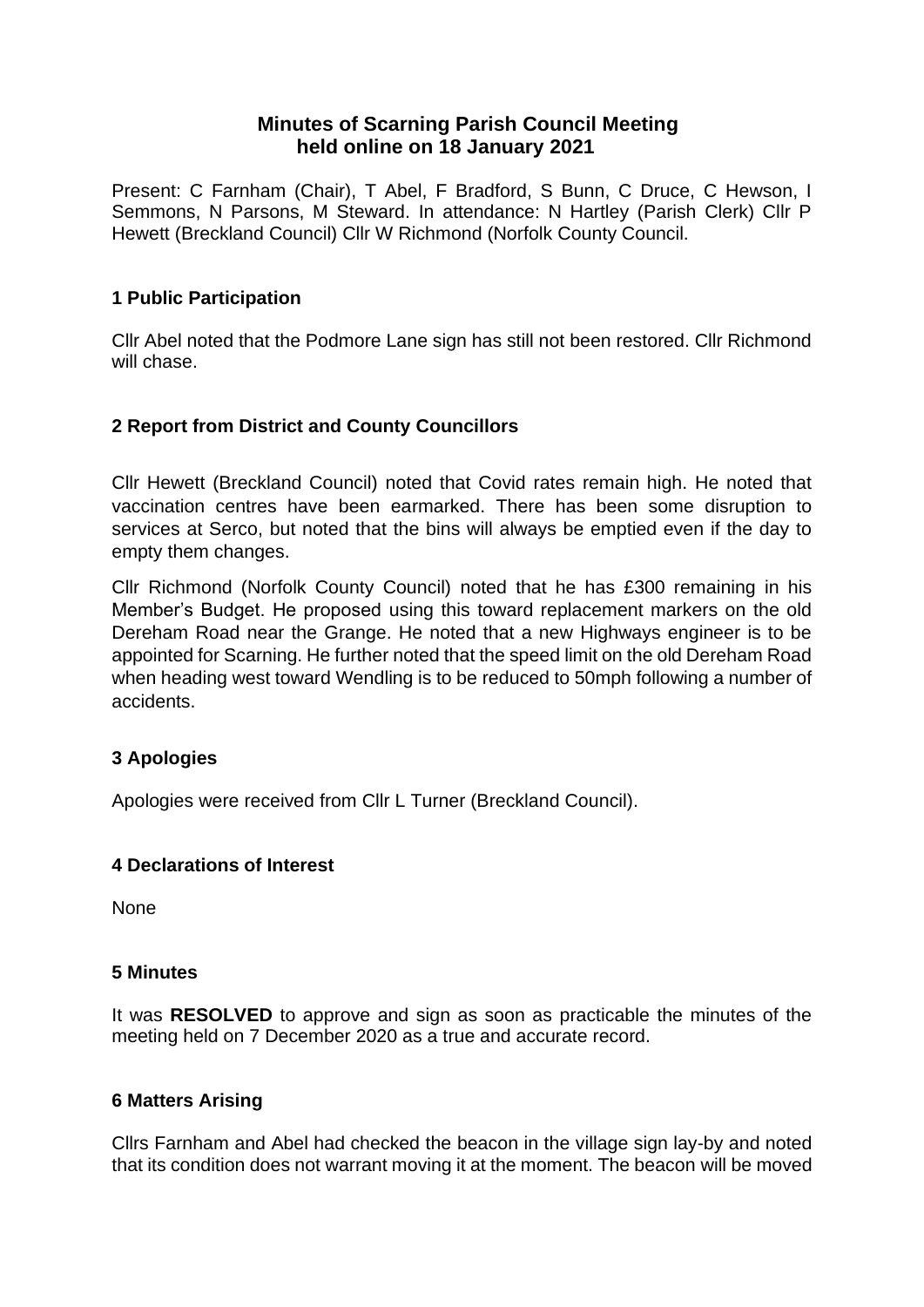# **Minutes of Scarning Parish Council Meeting held online on 18 January 2021**

Present: C Farnham (Chair), T Abel, F Bradford, S Bunn, C Druce, C Hewson, I Semmons, N Parsons, M Steward. In attendance: N Hartley (Parish Clerk) Cllr P Hewett (Breckland Council) Cllr W Richmond (Norfolk County Council.

# **1 Public Participation**

Cllr Abel noted that the Podmore Lane sign has still not been restored. Cllr Richmond will chase.

## **2 Report from District and County Councillors**

Cllr Hewett (Breckland Council) noted that Covid rates remain high. He noted that vaccination centres have been earmarked. There has been some disruption to services at Serco, but noted that the bins will always be emptied even if the day to empty them changes.

Cllr Richmond (Norfolk County Council) noted that he has £300 remaining in his Member's Budget. He proposed using this toward replacement markers on the old Dereham Road near the Grange. He noted that a new Highways engineer is to be appointed for Scarning. He further noted that the speed limit on the old Dereham Road when heading west toward Wendling is to be reduced to 50mph following a number of accidents.

# **3 Apologies**

Apologies were received from Cllr L Turner (Breckland Council).

## **4 Declarations of Interest**

None

## **5 Minutes**

It was **RESOLVED** to approve and sign as soon as practicable the minutes of the meeting held on 7 December 2020 as a true and accurate record.

## **6 Matters Arising**

Cllrs Farnham and Abel had checked the beacon in the village sign lay-by and noted that its condition does not warrant moving it at the moment. The beacon will be moved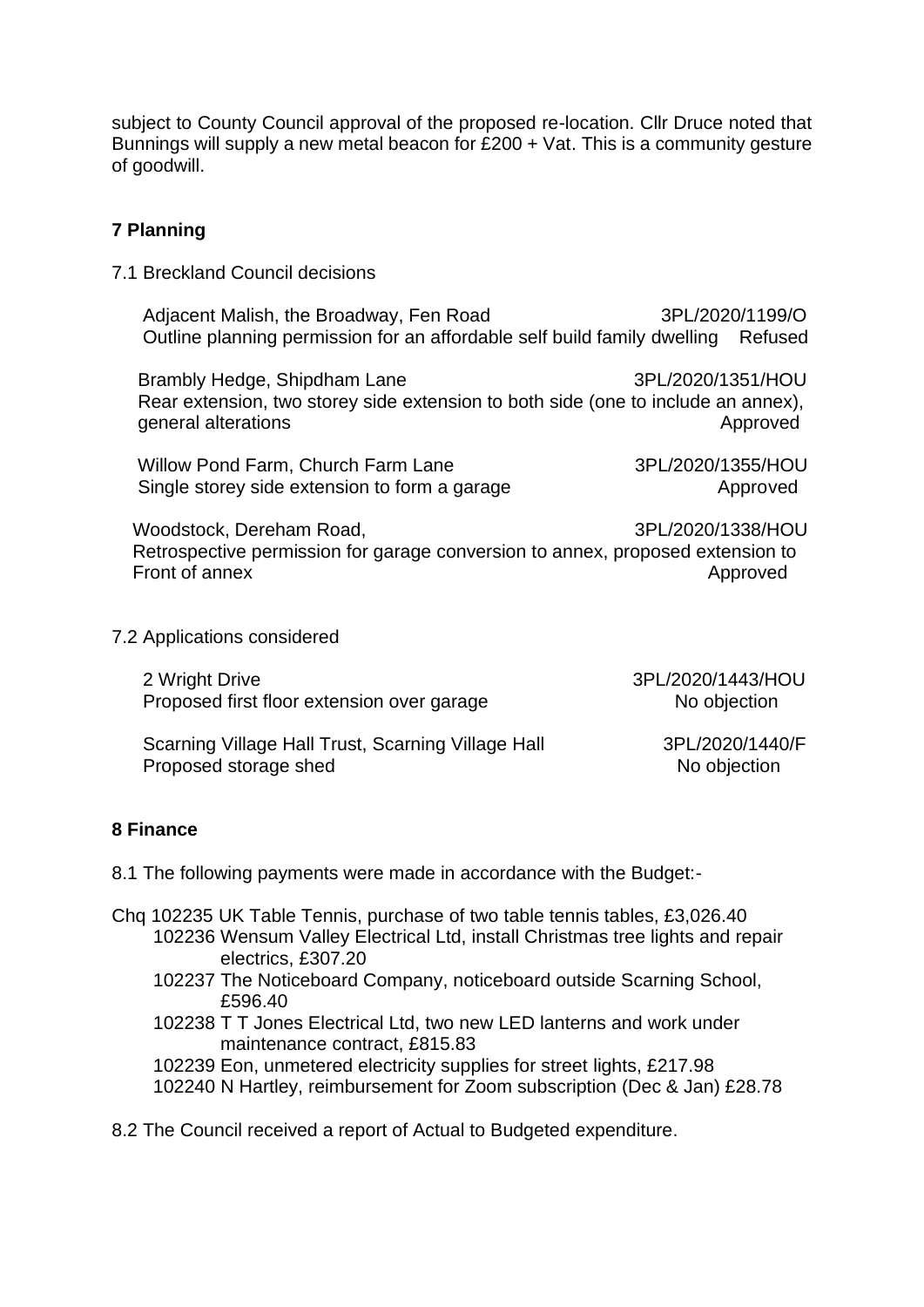subject to County Council approval of the proposed re-location. Cllr Druce noted that Bunnings will supply a new metal beacon for  $£200 + Vat$ . This is a community gesture of goodwill.

# **7 Planning**

7.1 Breckland Council decisions

Adjacent Malish, the Broadway, Fen Road 3PL/2020/1199/O Outline planning permission for an affordable self build family dwelling Refused

Brambly Hedge, Shipdham Lane 3PL/2020/1351/HOU Rear extension, two storey side extension to both side (one to include an annex), general alterations and alternations and alternations are alternatively approved

Willow Pond Farm, Church Farm Lane 3PL/2020/1355/HOU Single storey side extension to form a garage Approved

Woodstock, Dereham Road, 3PL/2020/1338/HOU Retrospective permission for garage conversion to annex, proposed extension to Front of annex Approved

7.2 Applications considered

2 Wright Drive 3PL/2020/1443/HOU Proposed first floor extension over garage No objection

Scarning Village Hall Trust, Scarning Village Hall 3PL/2020/1440/F<br>Proposed storage shed **1998** No objection Proposed storage shed

## **8 Finance**

8.1 The following payments were made in accordance with the Budget:-

- Chq 102235 UK Table Tennis, purchase of two table tennis tables, £3,026.40 102236 Wensum Valley Electrical Ltd, install Christmas tree lights and repair electrics, £307.20
	- 102237 The Noticeboard Company, noticeboard outside Scarning School, £596.40
	- 102238 T T Jones Electrical Ltd, two new LED lanterns and work under maintenance contract, £815.83
	- 102239 Eon, unmetered electricity supplies for street lights, £217.98
	- 102240 N Hartley, reimbursement for Zoom subscription (Dec & Jan) £28.78

8.2 The Council received a report of Actual to Budgeted expenditure.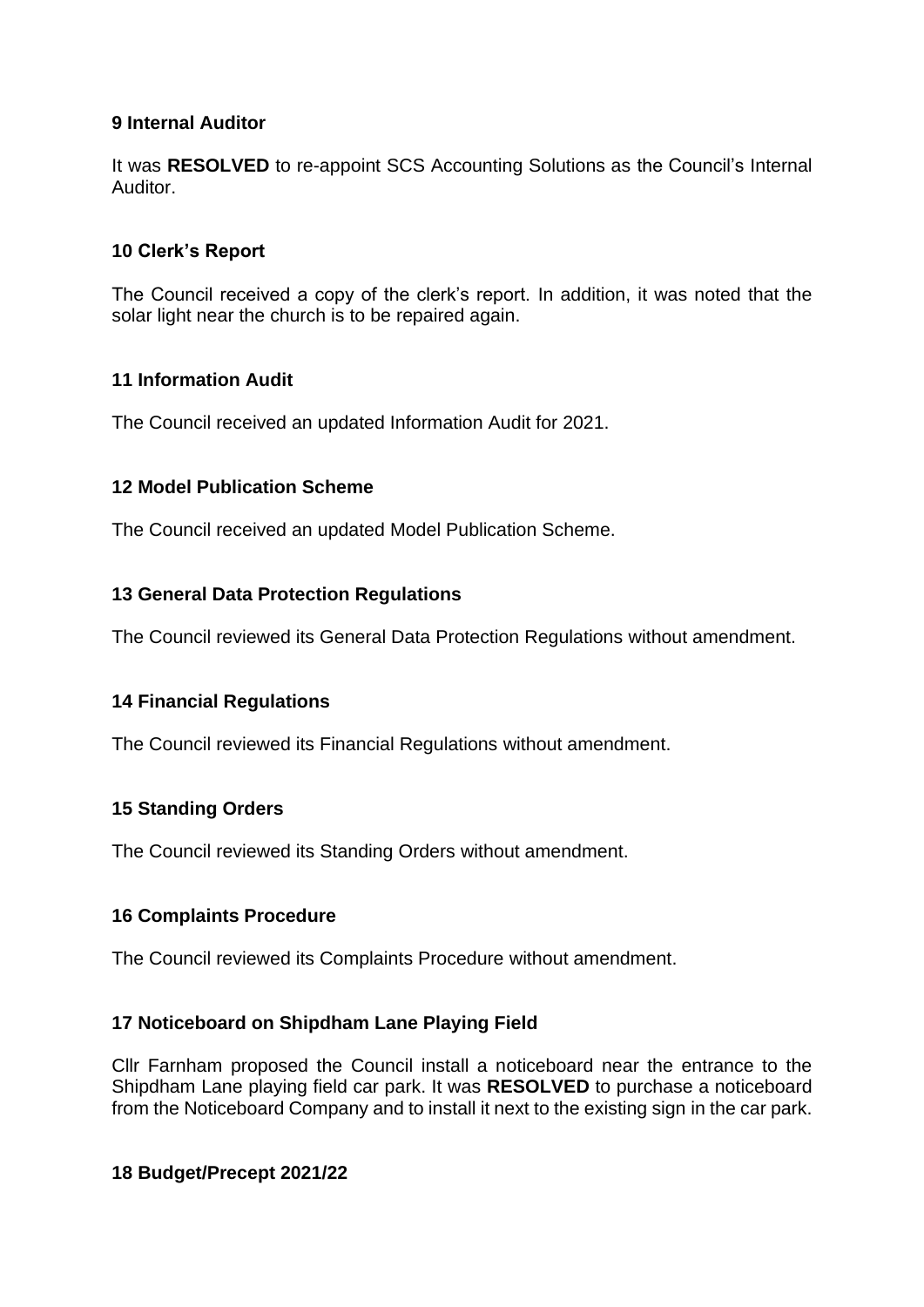## **9 Internal Auditor**

It was **RESOLVED** to re-appoint SCS Accounting Solutions as the Council's Internal Auditor.

## **10 Clerk's Report**

The Council received a copy of the clerk's report. In addition, it was noted that the solar light near the church is to be repaired again.

## **11 Information Audit**

The Council received an updated Information Audit for 2021.

## **12 Model Publication Scheme**

The Council received an updated Model Publication Scheme.

## **13 General Data Protection Regulations**

The Council reviewed its General Data Protection Regulations without amendment.

# **14 Financial Regulations**

The Council reviewed its Financial Regulations without amendment.

# **15 Standing Orders**

The Council reviewed its Standing Orders without amendment.

# **16 Complaints Procedure**

The Council reviewed its Complaints Procedure without amendment.

## **17 Noticeboard on Shipdham Lane Playing Field**

Cllr Farnham proposed the Council install a noticeboard near the entrance to the Shipdham Lane playing field car park. It was **RESOLVED** to purchase a noticeboard from the Noticeboard Company and to install it next to the existing sign in the car park.

## **18 Budget/Precept 2021/22**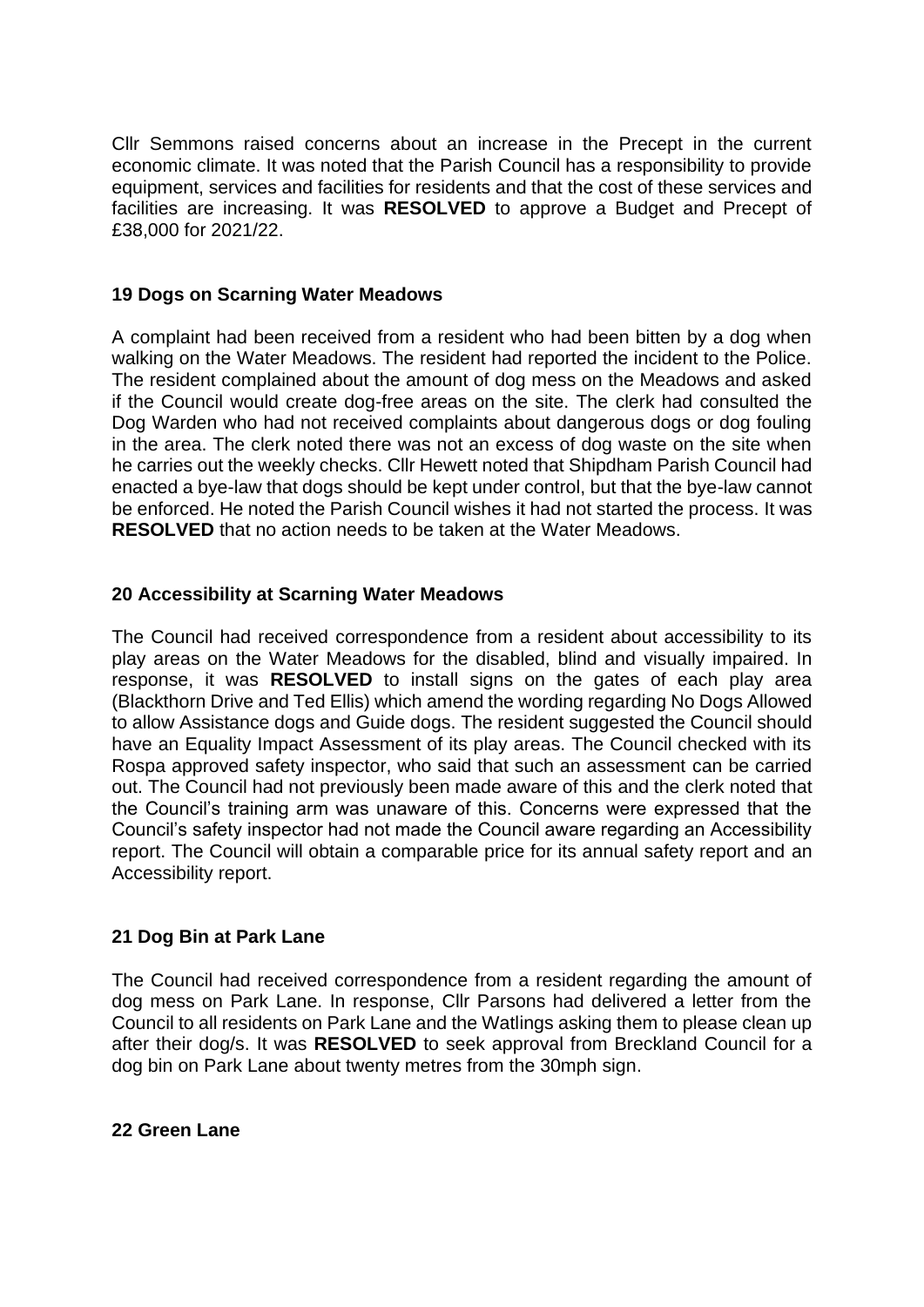Cllr Semmons raised concerns about an increase in the Precept in the current economic climate. It was noted that the Parish Council has a responsibility to provide equipment, services and facilities for residents and that the cost of these services and facilities are increasing. It was **RESOLVED** to approve a Budget and Precept of £38,000 for 2021/22.

#### **19 Dogs on Scarning Water Meadows**

A complaint had been received from a resident who had been bitten by a dog when walking on the Water Meadows. The resident had reported the incident to the Police. The resident complained about the amount of dog mess on the Meadows and asked if the Council would create dog-free areas on the site. The clerk had consulted the Dog Warden who had not received complaints about dangerous dogs or dog fouling in the area. The clerk noted there was not an excess of dog waste on the site when he carries out the weekly checks. Cllr Hewett noted that Shipdham Parish Council had enacted a bye-law that dogs should be kept under control, but that the bye-law cannot be enforced. He noted the Parish Council wishes it had not started the process. It was **RESOLVED** that no action needs to be taken at the Water Meadows.

## **20 Accessibility at Scarning Water Meadows**

The Council had received correspondence from a resident about accessibility to its play areas on the Water Meadows for the disabled, blind and visually impaired. In response, it was **RESOLVED** to install signs on the gates of each play area (Blackthorn Drive and Ted Ellis) which amend the wording regarding No Dogs Allowed to allow Assistance dogs and Guide dogs. The resident suggested the Council should have an Equality Impact Assessment of its play areas. The Council checked with its Rospa approved safety inspector, who said that such an assessment can be carried out. The Council had not previously been made aware of this and the clerk noted that the Council's training arm was unaware of this. Concerns were expressed that the Council's safety inspector had not made the Council aware regarding an Accessibility report. The Council will obtain a comparable price for its annual safety report and an Accessibility report.

## **21 Dog Bin at Park Lane**

The Council had received correspondence from a resident regarding the amount of dog mess on Park Lane. In response, Cllr Parsons had delivered a letter from the Council to all residents on Park Lane and the Watlings asking them to please clean up after their dog/s. It was **RESOLVED** to seek approval from Breckland Council for a dog bin on Park Lane about twenty metres from the 30mph sign.

#### **22 Green Lane**